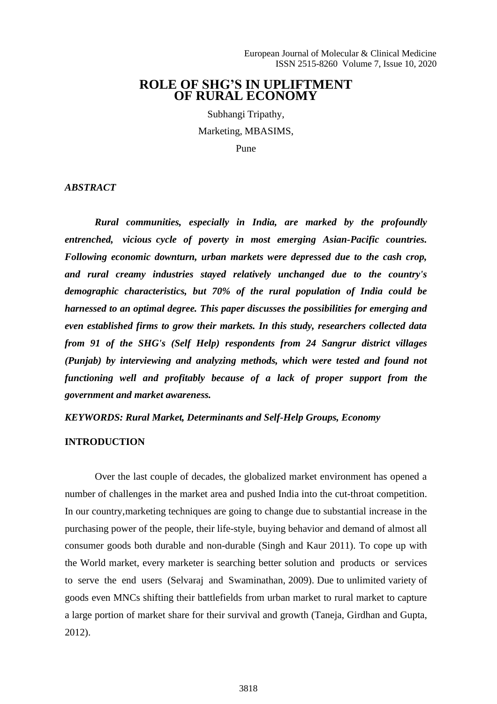# **ROLE OF SHG'S IN UPLIFTMENT OF RURAL ECONOMY**

Subhangi Tripathy, Marketing, MBASIMS,

Pune

*ABSTRACT*

*Rural communities, especially in India, are marked by the profoundly entrenched, vicious cycle of poverty in most emerging Asian-Pacific countries. Following economic downturn, urban markets were depressed due to the cash crop, and rural creamy industries stayed relatively unchanged due to the country's demographic characteristics, but 70% of the rural population of India could be harnessed to an optimal degree. This paper discusses the possibilities for emerging and even established firms to grow their markets. In this study, researchers collected data from 91 of the SHG's (Self Help) respondents from 24 Sangrur district villages (Punjab) by interviewing and analyzing methods, which were tested and found not functioning well and profitably because of a lack of proper support from the government and market awareness.*

*KEYWORDS: Rural Market, Determinants and Self-Help Groups, Economy*

#### **INTRODUCTION**

Over the last couple of decades, the globalized market environment has opened a number of challenges in the market area and pushed India into the cut-throat competition. In our country,marketing techniques are going to change due to substantial increase in the purchasing power of the people, their life-style, buying behavior and demand of almost all consumer goods both durable and non-durable (Singh and Kaur 2011). To cope up with the World market, every marketer is searching better solution and products or services to serve the end users (Selvaraj and Swaminathan, 2009). Due to unlimited variety of goods even MNCs shifting their battlefields from urban market to rural market to capture a large portion of market share for their survival and growth (Taneja, Girdhan and Gupta, 2012).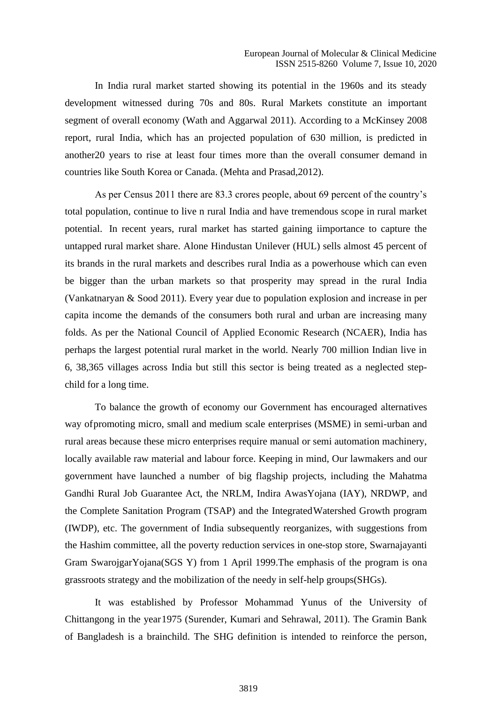In India rural market started showing its potential in the 1960s and its steady development witnessed during 70s and 80s. Rural Markets constitute an important segment of overall economy (Wath and Aggarwal 2011). According to a McKinsey 2008 report, rural India, which has an projected population of 630 million, is predicted in another20 years to rise at least four times more than the overall consumer demand in countries like South Korea or Canada. (Mehta and Prasad,2012).

As per Census 2011 there are 83.3 crores people, about 69 percent of the country's total population, continue to live n rural India and have tremendous scope in rural market potential. In recent years, rural market has started gaining iimportance to capture the untapped rural market share. Alone Hindustan Unilever (HUL) sells almost 45 percent of its brands in the rural markets and describes rural India as a powerhouse which can even be bigger than the urban markets so that prosperity may spread in the rural India (Vankatnaryan & Sood 2011). Every year due to population explosion and increase in per capita income the demands of the consumers both rural and urban are increasing many folds. As per the National Council of Applied Economic Research (NCAER), India has perhaps the largest potential rural market in the world. Nearly 700 million Indian live in 6, 38,365 villages across India but still this sector is being treated as a neglected stepchild for a long time.

To balance the growth of economy our Government has encouraged alternatives way ofpromoting micro, small and medium scale enterprises (MSME) in semi-urban and rural areas because these micro enterprises require manual or semi automation machinery, locally available raw material and labour force. Keeping in mind, Our lawmakers and our government have launched a number of big flagship projects, including the Mahatma Gandhi Rural Job Guarantee Act, the NRLM, Indira AwasYojana (IAY), NRDWP, and the Complete Sanitation Program (TSAP) and the IntegratedWatershed Growth program (IWDP), etc. The government of India subsequently reorganizes, with suggestions from the Hashim committee, all the poverty reduction services in one-stop store, Swarnajayanti Gram SwarojgarYojana(SGS Y) from 1 April 1999.The emphasis of the program is ona grassroots strategy and the mobilization of the needy in self-help groups(SHGs).

It was established by Professor Mohammad Yunus of the University of Chittangong in the year1975 (Surender, Kumari and Sehrawal, 2011). The Gramin Bank of Bangladesh is a brainchild. The SHG definition is intended to reinforce the person,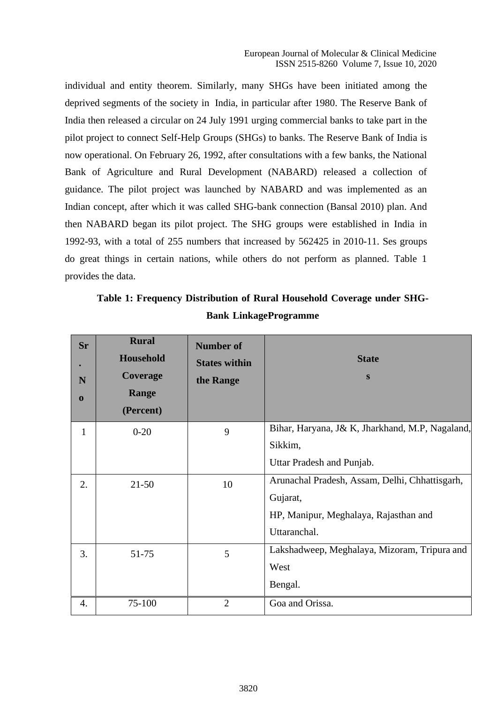individual and entity theorem. Similarly, many SHGs have been initiated among the deprived segments of the society in India, in particular after 1980. The Reserve Bank of India then released a circular on 24 July 1991 urging commercial banks to take part in the pilot project to connect Self-Help Groups (SHGs) to banks. The Reserve Bank of India is now operational. On February 26, 1992, after consultations with a few banks, the National Bank of Agriculture and Rural Development (NABARD) released a collection of guidance. The pilot project was launched by NABARD and was implemented as an Indian concept, after which it was called SHG-bank connection (Bansal 2010) plan. And then NABARD began its pilot project. The SHG groups were established in India in 1992-93, with a total of 255 numbers that increased by 562425 in 2010-11. Ses groups do great things in certain nations, while others do not perform as planned. Table 1 provides the data.

| Sr<br>N<br>$\bf{0}$ | <b>Rural</b><br><b>Household</b><br><b>Coverage</b><br>Range<br>(Percent) | <b>Number of</b><br><b>States within</b><br>the Range | <b>State</b><br>S                               |
|---------------------|---------------------------------------------------------------------------|-------------------------------------------------------|-------------------------------------------------|
| 1                   | $0 - 20$                                                                  | 9                                                     | Bihar, Haryana, J& K, Jharkhand, M.P, Nagaland, |
|                     |                                                                           |                                                       | Sikkim,                                         |
|                     |                                                                           |                                                       | Uttar Pradesh and Punjab.                       |
| 2.                  | $21 - 50$                                                                 | 10                                                    | Arunachal Pradesh, Assam, Delhi, Chhattisgarh,  |
|                     |                                                                           |                                                       | Gujarat,                                        |
|                     |                                                                           |                                                       | HP, Manipur, Meghalaya, Rajasthan and           |
|                     |                                                                           |                                                       | Uttaranchal.                                    |
| 3.                  | 51-75                                                                     | 5                                                     | Lakshadweep, Meghalaya, Mizoram, Tripura and    |
|                     |                                                                           |                                                       | West                                            |
|                     |                                                                           |                                                       | Bengal.                                         |
| 4.                  | 75-100                                                                    | $\overline{2}$                                        | Goa and Orissa.                                 |

**Table 1: Frequency Distribution of Rural Household Coverage under SHG-Bank LinkageProgramme**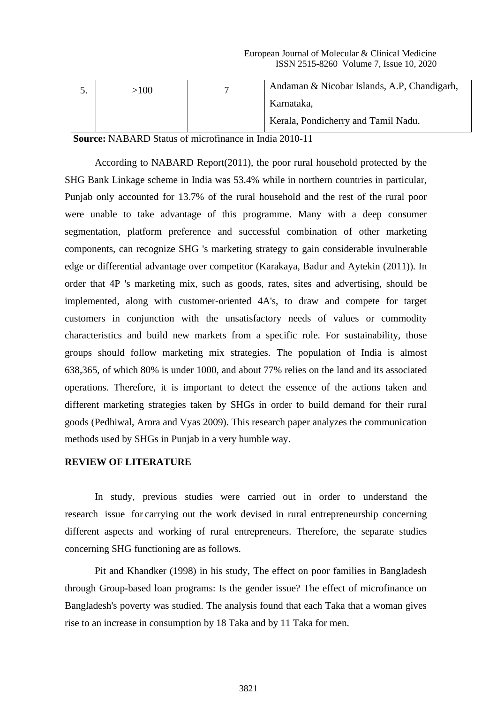| >100 | Andaman & Nicobar Islands, A.P., Chandigarh, |
|------|----------------------------------------------|
|      | Karnataka,                                   |
|      | Kerala, Pondicherry and Tamil Nadu.          |

**Source:** NABARD Status of microfinance in India 2010-11

According to NABARD Report(2011), the poor rural household protected by the SHG Bank Linkage scheme in India was 53.4% while in northern countries in particular, Punjab only accounted for 13.7% of the rural household and the rest of the rural poor were unable to take advantage of this programme. Many with a deep consumer segmentation, platform preference and successful combination of other marketing components, can recognize SHG 's marketing strategy to gain considerable invulnerable edge or differential advantage over competitor (Karakaya, Badur and Aytekin (2011)). In order that 4P 's marketing mix, such as goods, rates, sites and advertising, should be implemented, along with customer-oriented 4A's, to draw and compete for target customers in conjunction with the unsatisfactory needs of values or commodity characteristics and build new markets from a specific role. For sustainability, those groups should follow marketing mix strategies. The population of India is almost 638,365, of which 80% is under 1000, and about 77% relies on the land and its associated operations. Therefore, it is important to detect the essence of the actions taken and different marketing strategies taken by SHGs in order to build demand for their rural goods (Pedhiwal, Arora and Vyas 2009). This research paper analyzes the communication methods used by SHGs in Punjab in a very humble way.

## **REVIEW OF LITERATURE**

In study, previous studies were carried out in order to understand the research issue for carrying out the work devised in rural entrepreneurship concerning different aspects and working of rural entrepreneurs. Therefore, the separate studies concerning SHG functioning are as follows.

Pit and Khandker (1998) in his study, The effect on poor families in Bangladesh through Group-based loan programs: Is the gender issue? The effect of microfinance on Bangladesh's poverty was studied. The analysis found that each Taka that a woman gives rise to an increase in consumption by 18 Taka and by 11 Taka for men.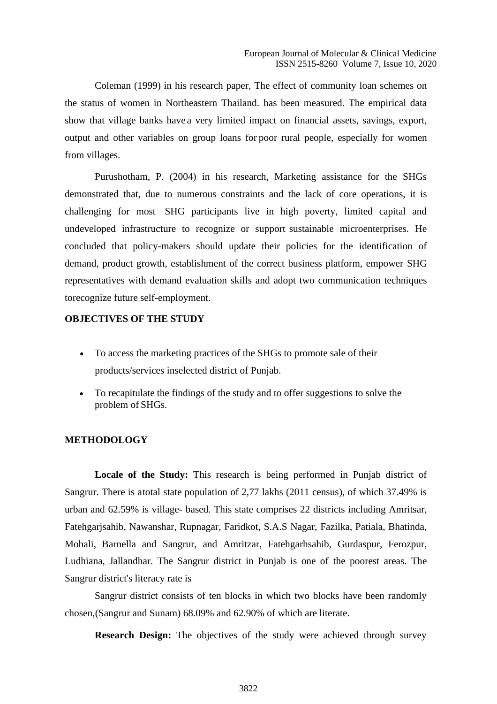Coleman (1999) in his research paper, The effect of community loan schemes on the status of women in Northeastern Thailand. has been measured. The empirical data show that village banks have a very limited impact on financial assets, savings, export, output and other variables on group loans for poor rural people, especially for women from villages.

Purushotham, P. (2004) in his research, Marketing assistance for the SHGs demonstrated that, due to numerous constraints and the lack of core operations, it is challenging for most SHG participants live in high poverty, limited capital and undeveloped infrastructure to recognize or support sustainable microenterprises. He concluded that policy-makers should update their policies for the identification of demand, product growth, establishment of the correct business platform, empower SHG representatives with demand evaluation skills and adopt two communication techniques torecognize future self-employment.

#### **OBJECTIVES OF THE STUDY**

- To access the marketing practices of the SHGs to promote sale of their products/services inselected district of Punjab.
- To recapitulate the findings of the study and to offer suggestions to solve the problem of SHGs.

### **METHODOLOGY**

Locale of the Study: This research is being performed in Punjab district of Sangrur. There is atotal state population of 2,77 lakhs (2011 census), of which 37.49% is urban and 62.59% is village- based. This state comprises 22 districts including Amritsar, Fatehgarjsahib, Nawanshar, Rupnagar, Faridkot, S.A.S Nagar, Fazilka, Patiala, Bhatinda, Mohali, Barnella and Sangrur, and Amritzar, Fatehgarhsahib, Gurdaspur, Ferozpur, Ludhiana, Jallandhar. The Sangrur district in Punjab is one of the poorest areas. The Sangrur district's literacy rate is

Sangrur district consists of ten blocks in which two blocks have been randomly chosen,(Sangrur and Sunam) 68.09% and 62.90% of which are literate.

**Research Design:** The objectives of the study were achieved through survey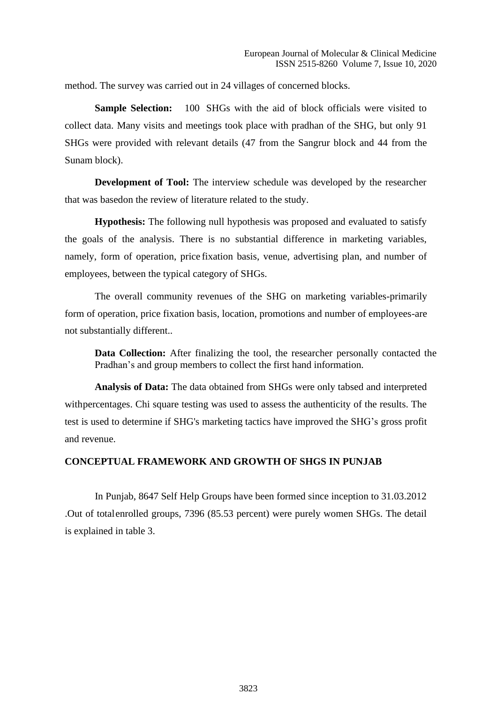method. The survey was carried out in 24 villages of concerned blocks.

**Sample Selection:** 100 SHGs with the aid of block officials were visited to collect data. Many visits and meetings took place with pradhan of the SHG, but only 91 SHGs were provided with relevant details (47 from the Sangrur block and 44 from the Sunam block).

**Development of Tool:** The interview schedule was developed by the researcher that was basedon the review of literature related to the study.

**Hypothesis:** The following null hypothesis was proposed and evaluated to satisfy the goals of the analysis. There is no substantial difference in marketing variables, namely, form of operation, price fixation basis, venue, advertising plan, and number of employees, between the typical category of SHGs.

The overall community revenues of the SHG on marketing variables-primarily form of operation, price fixation basis, location, promotions and number of employees-are not substantially different..

**Data Collection:** After finalizing the tool, the researcher personally contacted the Pradhan's and group members to collect the first hand information.

**Analysis of Data:** The data obtained from SHGs were only tabsed and interpreted withpercentages. Chi square testing was used to assess the authenticity of the results. The test is used to determine if SHG's marketing tactics have improved the SHG's gross profit and revenue.

# **CONCEPTUAL FRAMEWORK AND GROWTH OF SHGS IN PUNJAB**

In Punjab, 8647 Self Help Groups have been formed since inception to 31.03.2012 .Out of totalenrolled groups, 7396 (85.53 percent) were purely women SHGs. The detail is explained in table 3.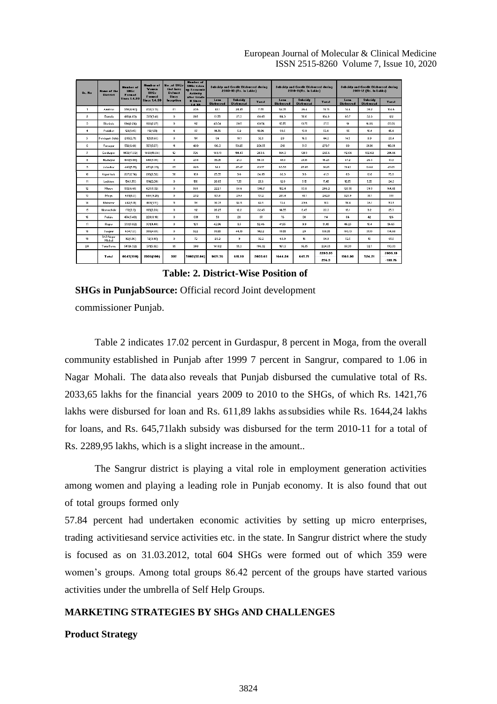| Sr. No               | Humber of<br>SHG-<br><b>Name of the</b><br><b>District</b><br>Formed<br><b>Since 1.4.99</b> |             | <b>Number of</b><br><b>No.of SHGs</b><br><b>Women</b><br><b>SHGs</b><br>Formed |                      | <b>Number of</b><br><b>SHGs taken</b><br>up Economic<br>Activity<br>after Grade |         | <b>Subsidy and Credit Disbursed during</b><br>2009-10 (Bs. in Lakhs) |                          |                          | <b>Subsidy and Credit Disbursed during</b><br>2010-11(Bs. in Lakhs) |         |                          | <b>Subsidy and Credit Disbursed during</b><br>2011-12 (Bs. la Lakhs) |              |                          |                                    |       |
|----------------------|---------------------------------------------------------------------------------------------|-------------|--------------------------------------------------------------------------------|----------------------|---------------------------------------------------------------------------------|---------|----------------------------------------------------------------------|--------------------------|--------------------------|---------------------------------------------------------------------|---------|--------------------------|----------------------------------------------------------------------|--------------|--------------------------|------------------------------------|-------|
|                      |                                                                                             |             | <b>Since 1.4.99</b>                                                            |                      |                                                                                 |         | Inception                                                            | <b>Il Since</b><br>14.33 | Lona<br><b>Disbursed</b> | <b>Subsidy</b><br><b>Disbursed</b>                                  | Total   | Loan<br><b>Disbursed</b> | Sub-idy<br><b>Disbursed</b>                                          | <b>Total</b> | Loan<br><b>Disbursed</b> | <b>Subside</b><br><b>Disbursed</b> | Total |
| $\overline{1}$       | Amritson                                                                                    | 338(4.60)   | 232(3.13)                                                                      | 81                   | 236                                                                             | 47.1    | 24.45                                                                | 71.55                    | 52.35                    | 26.4                                                                | 78.75   | 74.4                     | 30.2                                                                 | 104.6        |                          |                                    |       |
| $\overline{a}$       | Barnala                                                                                     | 418(4.83)   | 399(5.41)                                                                      | $\mathbf{0}$         | 285                                                                             | 61.55   | 27.3                                                                 | 88.85                    | 114.3                    | 50.6                                                                | 164.9   | 83.7                     | 32.3                                                                 | 122          |                          |                                    |       |
| 3                    | <b>Bhatinda</b>                                                                             | 194(2.24)   | 168(2.27)                                                                      | $\bullet$            | 112                                                                             | 49.04   | 20.5                                                                 | 63.54                    | 13.75                    | 13.75                                                               | 27.5    | 13                       | 16.36                                                                | 35.36        |                          |                                    |       |
| $\blacktriangleleft$ | Faridkot                                                                                    | 126(1.45)   | 112(1.51)                                                                      | $\ddot{\phantom{a}}$ | 87                                                                              | 14.76   | 5.2                                                                  | 13.36                    | 33.5                     | 13.3                                                                | 53.4    | 35                       | 10.4                                                                 | 45.4         |                          |                                    |       |
| 5                    | Fatchgarh Sahib                                                                             | 235(2.71)   | 125(1.6.9)                                                                     | $\mathbf{0}$         | 191                                                                             | 34      | 18.1                                                                 | 52.1                     | 28                       | 16.3                                                                | 44.3    | 14.5                     | 8.9                                                                  | 23.4         |                          |                                    |       |
| 6                    | Ferozour                                                                                    | 572(6.61)   | 567(7.67)                                                                      | 11                   | 439                                                                             | 186.3   | 50.25                                                                | 236.55                   | 219                      | 51.7                                                                | 270.7   | 38                       | 21.81                                                                | 119.81       |                          |                                    |       |
| $\overline{1}$       | Gurdsspur                                                                                   | 1472(17.02) | 1468(19.84)                                                                    | 12                   | 726                                                                             | 149.13  | 114.47                                                               | 263.6                    | 144.3                    | 121.3                                                               | 265.6   | 112.04                   | 102.62                                                               | 214.66       |                          |                                    |       |
| 8                    | Hosiarpur                                                                                   | 440(5.08)   | 440(5.95)                                                                      | $^{\circ}$           | 238                                                                             | 35.05   | 21.3                                                                 | 56.35                    | 43.1                     | 27.15                                                               | 76.25   | 47.2                     | 26.3                                                                 | 73.5         |                          |                                    |       |
| $\bullet$            | Jalandhar                                                                                   | 480(5.55)   | 473(6.33)                                                                      | 65                   | 228                                                                             | 62.1    | 27.47                                                                | 89.57                    | 63.99                    | 27.26                                                               | 31.25   | 31.43                    | 13.62                                                                | 45.05        |                          |                                    |       |
| 10                   | Kapurthala                                                                                  | 237(2.74)   | 216(2.92)                                                                      | 58                   | 109                                                                             | 25.35   | 3.6                                                                  | 34.95                    | 32.3                     | 3.6                                                                 | 41.9    | 63                       | 13.8                                                                 | 76.8         |                          |                                    |       |
| 11                   | Ludhiana                                                                                    | 154(1.78)   | 154(2.08)                                                                      | $\mathbf{0}$         | 150                                                                             | 20.05   | 7.55                                                                 | 27.6                     | 12.3                     | 5.15                                                                | 17.45   | 18.75                    | 5.55                                                                 | 24.3         |                          |                                    |       |
| 12                   | Mansa                                                                                       | 572(6.61)   | 423(5.72)                                                                      | $\mathbf{0}$         | 568                                                                             | 222.1   | 84.6                                                                 | 306.7                    | 152.4                    | 53.8                                                                | 206.2   | 125.35                   | 33.3                                                                 | 164.65       |                          |                                    |       |
| 13                   | Mogs                                                                                        | 687(8.0)    | 684(9.25)                                                                      | $\mathbf{0}$         | 232                                                                             | 101.8   | 29.4                                                                 | 131.2                    | 201.4                    | 41.1                                                                | 242.5   | 323.9                    | 31.1                                                                 | 355          |                          |                                    |       |
| 14                   | Mukatoar                                                                                    | 442(5.11)   | 408(5.51)                                                                      | 11                   | 131                                                                             | 30.35   | 12.15                                                                | 42.5                     | 73.4                     | 23.6                                                                | 103     | 117.4                    | 36.1                                                                 | 153.5        |                          |                                    |       |
| 15                   | Nawanshahr                                                                                  | 172(2.0)    | 165(2.23)                                                                      | $\bullet$            | 112                                                                             | 20.25   | 12.2                                                                 | 32.45                    | 14.85                    | 8.45                                                                | 23.3    | 16.1                     | 3.2                                                                  | 25.3         |                          |                                    |       |
| 16                   | Patiala                                                                                     | 474(5.48)   | 229(3.10)                                                                      | $\mathbf{0}$         | 301                                                                             | 58      | 29                                                                   | 87                       | 76                       | 38                                                                  | 114     | 84                       | 42                                                                   | 126          |                          |                                    |       |
| 17                   | Roper                                                                                       | 331(3.82)   | 331(4.48)                                                                      | $\mathbf{0}$         | 123                                                                             | 42.96   | 3.5                                                                  | 52.46                    | 41.55                    | 3.3                                                                 | 51.45   | 46.25                    | 10.4                                                                 | 56.65        |                          |                                    |       |
| 18                   | Sangrur                                                                                     | 604(7.0)    | 359(4.85)                                                                      | $\bullet$            | 522                                                                             | 37.65   | 44.55                                                                | 142.2                    | 79.55                    | 29                                                                  | 108.55  | 103.13                   | 31.55                                                                | 134.68       |                          |                                    |       |
| 19                   | SAS Nagar<br>Mohali                                                                         | 32(1.06)    | 72(0.97)                                                                       | $\mathbf{0}$         | 72                                                                              | 23.2    | $\theta$                                                             | 32.2                     | 68.9                     | 16                                                                  | 84.9    | 52.5                     | 10 <sup>10</sup>                                                     | 65.5         |                          |                                    |       |
| 20                   | ToronToron                                                                                  | 547(6.32)   | 371(5.02)                                                                      | 35                   | 308                                                                             | 141.02  | 55.3                                                                 | 196.32                   | 167.3                    | 56.75                                                               | 224.05  | 37.33                    | 32.7                                                                 | 130.03       |                          |                                    |       |
|                      | Total                                                                                       | 8547[100]   | 7336(100)                                                                      | 337                  | 5002(57.84)                                                                     | 1421.76 | 611.83                                                               | 2033.65                  | 1644.24                  | 645.71                                                              | 2283.35 | 1558.98                  | 524.21                                                               | 2036.13      |                          |                                    |       |
|                      |                                                                                             |             |                                                                                |                      |                                                                                 |         |                                                                      |                          |                          |                                                                     | 256.3   |                          |                                                                      | $-133.76$    |                          |                                    |       |

European Journal of Molecular & Clinical Medicine ISSN 2515-8260 Volume 7, Issue 10, 2020

**Table: 2. District-Wise Position of** 

**SHGs in PunjabSource:** Official record Joint development commissioner Punjab.

Table 2 indicates 17.02 percent in Gurdaspur, 8 percent in Moga, from the overall community established in Punjab after 1999 7 percent in Sangrur, compared to 1.06 in Nagar Mohali. The data also reveals that Punjab disbursed the cumulative total of Rs. 2033,65 lakhs for the financial years 2009 to 2010 to the SHGs, of which Rs. 1421,76 lakhs were disbursed for loan and Rs. 611,89 lakhs assubsidies while Rs. 1644,24 lakhs for loans, and Rs. 645,71lakh subsidy was disbursed for the term 2010-11 for a total of Rs. 2289,95 lakhs, which is a slight increase in the amount..

The Sangrur district is playing a vital role in employment generation activities among women and playing a leading role in Punjab economy. It is also found that out of total groups formed only

57.84 percent had undertaken economic activities by setting up micro enterprises, trading activitiesand service activities etc. in the state. In Sangrur district where the study is focused as on 31.03.2012, total 604 SHGs were formed out of which 359 were women's groups. Among total groups 86.42 percent of the groups have started various activities under the umbrella of Self Help Groups.

## **MARKETING STRATEGIES BY SHGs AND CHALLENGES**

#### **Product Strategy**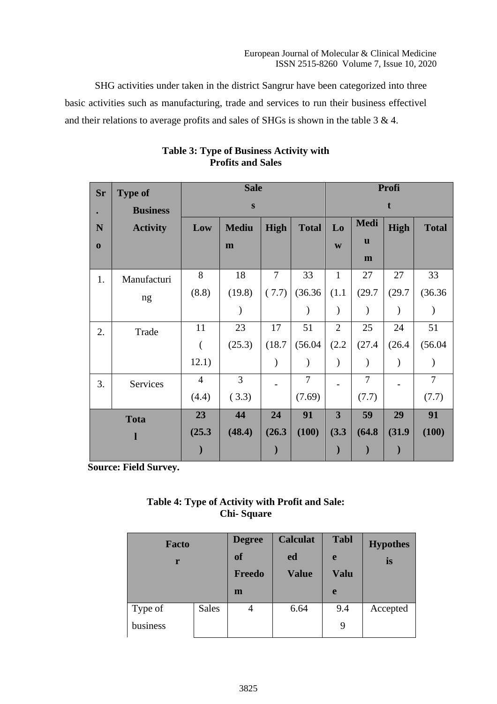SHG activities under taken in the district Sangrur have been categorized into three basic activities such as manufacturing, trade and services to run their business effectivel and their relations to average profits and sales of SHGs is shown in the table 3 & 4.

| <b>Sr</b> | <b>Type of</b>  |                | <b>Sale</b>    |                |                | Profi                   |                |               |              |  |
|-----------|-----------------|----------------|----------------|----------------|----------------|-------------------------|----------------|---------------|--------------|--|
|           | <b>Business</b> |                | ${\bf S}$      |                |                |                         |                |               |              |  |
| N         | <b>Activity</b> | Low            | <b>Mediu</b>   | <b>High</b>    | <b>Total</b>   | Lo                      | Medi           | <b>High</b>   | <b>Total</b> |  |
| $\bf{0}$  |                 |                | m              |                |                | W                       | u              |               |              |  |
|           |                 |                |                |                |                |                         | m              |               |              |  |
| 1.        | Manufacturi     | 8              | 18             | $\overline{7}$ | 33             | $\mathbf{1}$            | 27             | 27            | 33           |  |
|           | ng              | (8.8)          | (19.8)         | (7.7)          | (36.36)        | (1.1)                   | (29.7)         | (29.7)        | (36.36)      |  |
|           |                 |                |                |                |                |                         |                |               |              |  |
| 2.        | Trade           | 11             | 23             | 17             | 51             | $\overline{2}$          | 25             | 24            | 51           |  |
|           |                 |                | (25.3)         | (18.7)         | (56.04)        | (2.2)                   | (27.4)         | (26.4)        | (56.04)      |  |
|           |                 | 12.1)          |                | $\mathcal{E}$  |                | $\mathcal{E}$           | $\mathcal{E}$  | $\mathcal{E}$ |              |  |
| 3.        | Services        | $\overline{4}$ | $\overline{3}$ |                | $\overline{7}$ |                         | $\overline{7}$ |               | 7            |  |
|           |                 | (4.4)          | (3.3)          |                | (7.69)         |                         | (7.7)          |               | (7.7)        |  |
|           | <b>Tota</b>     | 23             | 44             | 24             | 91             | $\overline{\mathbf{3}}$ | 59             | 29            | 91           |  |
|           | l               | (25.3)         | (48.4)         | (26.3)         | (100)          | (3.3)                   | (64.8)         | (31.9)        | (100)        |  |
|           |                 |                |                |                |                |                         |                |               |              |  |

# **Table 3: Type of Business Activity with Profits and Sales**

**Source: Field Survey.**

# **Table 4: Type of Activity with Profit and Sale: Chi- Square**

| <b>Facto</b><br>r |              | <b>Degree</b><br>of<br>Freedo | <b>Calculat</b><br>ed<br><b>Value</b> | <b>Tabl</b><br>e<br><b>Valu</b> | <b>Hypothes</b><br>is |
|-------------------|--------------|-------------------------------|---------------------------------------|---------------------------------|-----------------------|
|                   |              | m                             |                                       | e                               |                       |
| Type of           | <b>Sales</b> | 4                             | 6.64                                  | 9.4                             | Accepted              |
| business          |              |                               |                                       | 9                               |                       |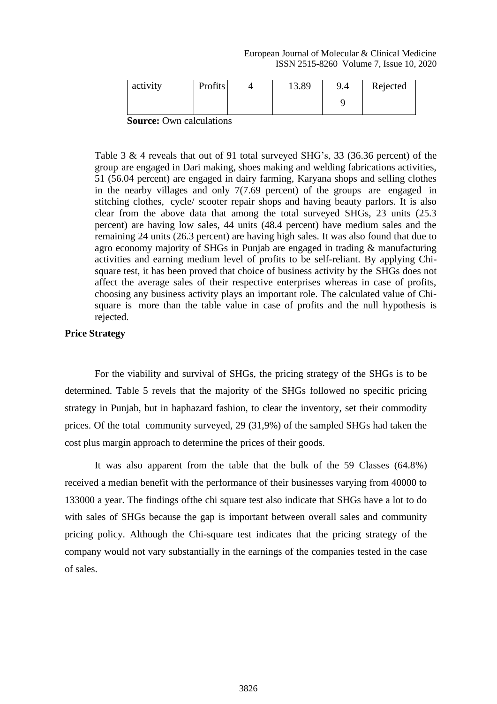European Journal of Molecular & Clinical Medicine ISSN 2515-8260 Volume 7, Issue 10, 2020

| activity | <b>Profits</b>                  |  | 13.89 | 9.4 | Rejected |  |  |  |  |  |  |
|----------|---------------------------------|--|-------|-----|----------|--|--|--|--|--|--|
|          |                                 |  |       |     |          |  |  |  |  |  |  |
|          | <b>Source:</b> Own calculations |  |       |     |          |  |  |  |  |  |  |

Table 3 & 4 reveals that out of 91 total surveyed SHG's, 33 (36.36 percent) of the group are engaged in Dari making, shoes making and welding fabrications activities, 51 (56.04 percent) are engaged in dairy farming, Karyana shops and selling clothes in the nearby villages and only 7(7.69 percent) of the groups are engaged in stitching clothes, cycle/ scooter repair shops and having beauty parlors. It is also clear from the above data that among the total surveyed SHGs, 23 units (25.3 percent) are having low sales, 44 units (48.4 percent) have medium sales and the remaining 24 units (26.3 percent) are having high sales. It was also found that due to agro economy majority of SHGs in Punjab are engaged in trading & manufacturing activities and earning medium level of profits to be self-reliant. By applying Chisquare test, it has been proved that choice of business activity by the SHGs does not affect the average sales of their respective enterprises whereas in case of profits, choosing any business activity plays an important role. The calculated value of Chisquare is more than the table value in case of profits and the null hypothesis is rejected.

### **Price Strategy**

For the viability and survival of SHGs, the pricing strategy of the SHGs is to be determined. Table 5 revels that the majority of the SHGs followed no specific pricing strategy in Punjab, but in haphazard fashion, to clear the inventory, set their commodity prices. Of the total community surveyed, 29 (31,9%) of the sampled SHGs had taken the cost plus margin approach to determine the prices of their goods.

It was also apparent from the table that the bulk of the 59 Classes (64.8%) received a median benefit with the performance of their businesses varying from 40000 to 133000 a year. The findings ofthe chi square test also indicate that SHGs have a lot to do with sales of SHGs because the gap is important between overall sales and community pricing policy. Although the Chi-square test indicates that the pricing strategy of the company would not vary substantially in the earnings of the companies tested in the case of sales.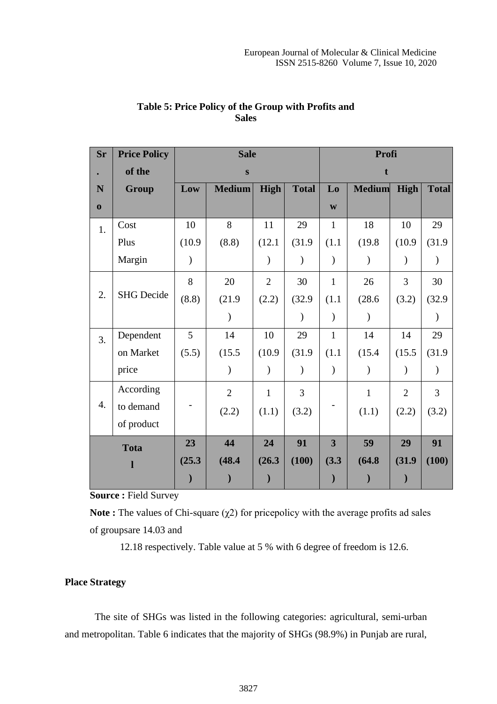| <b>Sr</b> | <b>Price Policy</b> |               | <b>Sale</b>    |                | Profi         |                           |               |                |                |  |
|-----------|---------------------|---------------|----------------|----------------|---------------|---------------------------|---------------|----------------|----------------|--|
|           | of the              |               | S              |                |               | f.                        |               |                |                |  |
| N         | Group               | Low           | <b>Medium</b>  | High           | <b>Total</b>  | Lo                        | <b>Medium</b> | High           | <b>Total</b>   |  |
| $\bf{0}$  |                     |               |                |                |               | $\boldsymbol{\mathrm{W}}$ |               |                |                |  |
| 1.        | Cost                | 10            | 8              | 11             | 29            | $\mathbf{1}$              | 18            | 10             | 29             |  |
|           | Plus                | (10.9)        | (8.8)          | (12.1)         | (31.9)        | (1.1)                     | (19.8)        | (10.9)         | (31.9)         |  |
|           | Margin              | $\mathcal{E}$ |                |                |               | $\mathcal{E}$             |               |                |                |  |
|           |                     | 8             | 20             | $\overline{2}$ | 30            | $\mathbf{1}$              | 26            | 3              | 30             |  |
| 2.        | <b>SHG</b> Decide   | (8.8)         | (21.9)         | (2.2)          | (32.9)        | (1.1)                     | (28.6)        | (3.2)          | (32.9)         |  |
|           |                     |               |                |                | $\mathcal{E}$ | $\mathcal{)}$             | $\mathcal{Y}$ |                | $\lambda$      |  |
| 3.        | Dependent           | 5             | 14             | 10             | 29            | $\mathbf{1}$              | 14            | 14             | 29             |  |
|           | on Market           | (5.5)         | (15.5)         | (10.9)         | (31.9)        | (1.1)                     | (15.4)        | (15.5)         | (31.9)         |  |
|           | price               |               |                | $\lambda$      | $\mathcal{E}$ | $\mathcal{)}$             | $\mathcal{E}$ |                | $\mathcal{E}$  |  |
|           | According           |               | $\overline{2}$ | $\mathbf{1}$   | 3             |                           | $\mathbf{1}$  | $\overline{2}$ | $\overline{3}$ |  |
| 4.        | to demand           |               | (2.2)          | (1.1)          | (3.2)         |                           | (1.1)         | (2.2)          | (3.2)          |  |
|           | of product          |               |                |                |               |                           |               |                |                |  |
|           | <b>Tota</b>         | 23            | 44             | 24             | 91            | $\overline{\mathbf{3}}$   | 59            | 29             | 91             |  |
|           | $\mathbf{l}$        | (25.3)        | (48.4)         | (26.3)         | (100)         | (3.3)                     | (64.8)        | (31.9)         | (100)          |  |
|           |                     |               |                |                |               |                           |               |                |                |  |

# **Table 5: Price Policy of the Group with Profits and Sales**

**Source :** Field Survey

**Note** : The values of Chi-square  $(\chi^2)$  for pricepolicy with the average profits ad sales of groupsare 14.03 and

12.18 respectively. Table value at 5 % with 6 degree of freedom is 12.6.

# **Place Strategy**

The site of SHGs was listed in the following categories: agricultural, semi-urban and metropolitan. Table 6 indicates that the majority of SHGs (98.9%) in Punjab are rural,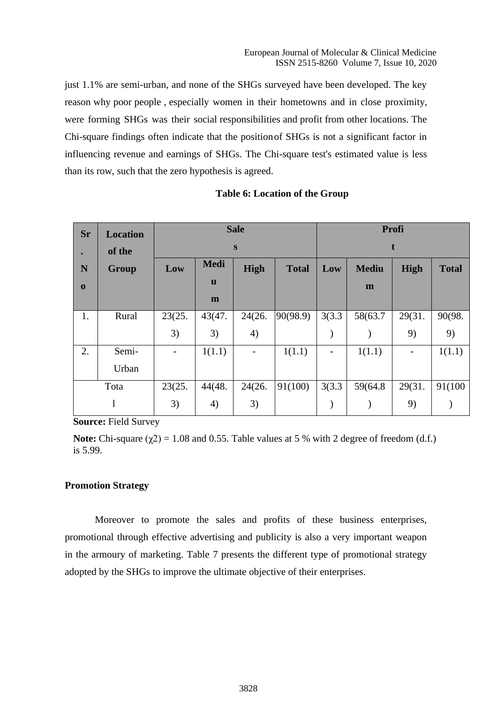just 1.1% are semi-urban, and none of the SHGs surveyed have been developed. The key reason why poor people , especially women in their hometowns and in close proximity, were forming SHGs was their social responsibilities and profit from other locations. The Chi-square findings often indicate that the positionof SHGs is not a significant factor in influencing revenue and earnings of SHGs. The Chi-square test's estimated value is less than its row, such that the zero hypothesis is agreed.

| Sr       | <b>Location</b> |        |             | <b>Sale</b>              |              | Profi  |              |             |              |  |  |  |
|----------|-----------------|--------|-------------|--------------------------|--------------|--------|--------------|-------------|--------------|--|--|--|
|          | of the          |        |             | S                        |              | t      |              |             |              |  |  |  |
| N        | Group           | Low    | <b>Medi</b> | <b>High</b>              | <b>Total</b> | Low    | <b>Mediu</b> | <b>High</b> | <b>Total</b> |  |  |  |
| $\bf{0}$ |                 |        | <b>u</b>    |                          |              |        | m            |             |              |  |  |  |
|          |                 |        | m           |                          |              |        |              |             |              |  |  |  |
| 1.       | Rural           | 23(25. | 43(47.      | 24(26.                   | 90(98.9)     | 3(3.3) | 58(63.7      | 29(31.      | 90(98.       |  |  |  |
|          |                 | 3)     | 3)          | 4)                       |              |        |              | 9)          | 9)           |  |  |  |
| 2.       | Semi-           |        | 1(1.1)      | $\overline{\phantom{a}}$ | 1(1.1)       |        | 1(1.1)       | -           | 1(1.1)       |  |  |  |
|          | Urban           |        |             |                          |              |        |              |             |              |  |  |  |
|          | Tota            | 23(25. | 44(48.      | 24(26.                   | 91(100)      | 3(3.3) | 59(64.8)     | 29(31.      | 91(100)      |  |  |  |
|          |                 | 3)     | 4)          | 3)                       |              |        |              | 9)          |              |  |  |  |

#### **Table 6: Location of the Group**

**Source:** Field Survey

**Note:** Chi-square  $(\chi^2) = 1.08$  and 0.55. Table values at 5 % with 2 degree of freedom (d.f.) is 5.99.

#### **Promotion Strategy**

Moreover to promote the sales and profits of these business enterprises, promotional through effective advertising and publicity is also a very important weapon in the armoury of marketing. Table 7 presents the different type of promotional strategy adopted by the SHGs to improve the ultimate objective of their enterprises.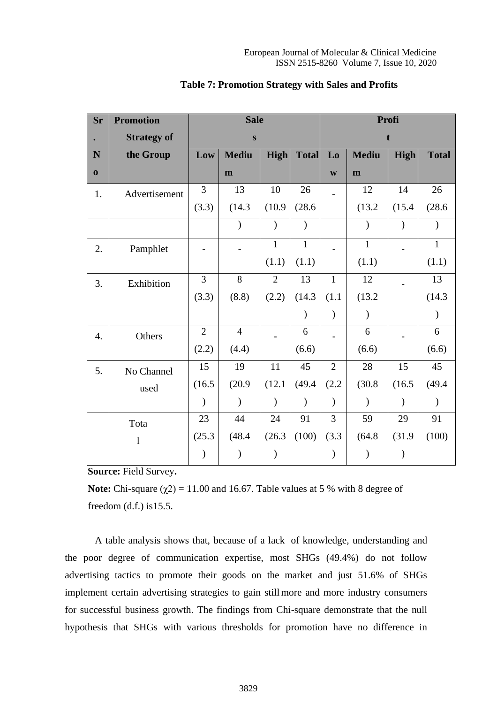| Sr               | <b>Promotion</b>   |                | <b>Sale</b>    | Profi          |               |                           |               |               |              |  |
|------------------|--------------------|----------------|----------------|----------------|---------------|---------------------------|---------------|---------------|--------------|--|
|                  | <b>Strategy of</b> |                | ${\bf S}$      |                |               |                           |               |               |              |  |
| N                | the Group          | Low            | <b>Mediu</b>   | High           | <b>Total</b>  | Lo                        | <b>Mediu</b>  | <b>High</b>   | <b>Total</b> |  |
| $\bf{0}$         |                    |                | m              |                |               | $\boldsymbol{\mathrm{W}}$ | m             |               |              |  |
| 1.               | Advertisement      | 3              | 13             | 10             | 26            |                           | 12            | 14            | 26           |  |
|                  |                    | (3.3)          | (14.3)         | (10.9)         | (28.6)        |                           | (13.2)        | (15.4)        | (28.6)       |  |
|                  |                    |                | $\mathcal{E}$  | $\mathcal{E}$  | $\mathcal{E}$ |                           | $\mathcal{E}$ | $\mathcal{C}$ |              |  |
| 2.               | Pamphlet           |                |                | $\mathbf{1}$   | $\mathbf{1}$  |                           | $\mathbf{1}$  |               | $\mathbf{1}$ |  |
|                  |                    |                |                | (1.1)          | (1.1)         |                           | (1.1)         |               | (1.1)        |  |
| 3.               | Exhibition         | $\overline{3}$ | $\overline{8}$ | $\overline{2}$ | 13            | $\mathbf{1}$              | 12            |               | 13           |  |
|                  |                    | (3.3)          | (8.8)          | (2.2)          | (14.3)        | (1.1)                     | (13.2)        |               | (14.3)       |  |
|                  |                    |                |                |                | $\mathcal{E}$ | $\mathcal{)}$             | $\mathcal{E}$ |               |              |  |
| $\overline{4}$ . | Others             | $\overline{2}$ | $\overline{4}$ |                | 6             |                           | 6             |               | 6            |  |
|                  |                    | (2.2)          | (4.4)          |                | (6.6)         |                           | (6.6)         |               | (6.6)        |  |
| 5.               | No Channel         | 15             | 19             | 11             | 45            | $\mathfrak{2}$            | 28            | 15            | 45           |  |
|                  | used               | (16.5)         | (20.9)         | (12.1)         | (49.4)        | (2.2)                     | (30.8)        | (16.5)        | (49.4)       |  |
|                  |                    | $\lambda$      | $\lambda$      |                | $\lambda$     | $\mathcal{E}$             | $\lambda$     |               |              |  |
|                  | Tota               | 23             | 44             | 24             | 91            | 3                         | 59            | 29            | 91           |  |
|                  | $\mathbf{l}$       | (25.3)         | (48.4)         | (26.3)         | (100)         | (3.3)                     | (64.8)        | (31.9)        | (100)        |  |
|                  |                    | $\mathcal{E}$  | $\lambda$      | $\mathcal{E}$  |               | $\mathcal{E}$             | $\lambda$     |               |              |  |

#### **Table 7: Promotion Strategy with Sales and Profits**

**Source:** Field Survey**.**

**Note:** Chi-square  $(\chi^2) = 11.00$  and 16.67. Table values at 5 % with 8 degree of freedom  $(d.f.)$  is 15.5.

A table analysis shows that, because of a lack of knowledge, understanding and the poor degree of communication expertise, most SHGs (49.4%) do not follow advertising tactics to promote their goods on the market and just 51.6% of SHGs implement certain advertising strategies to gain stillmore and more industry consumers for successful business growth. The findings from Chi-square demonstrate that the null hypothesis that SHGs with various thresholds for promotion have no difference in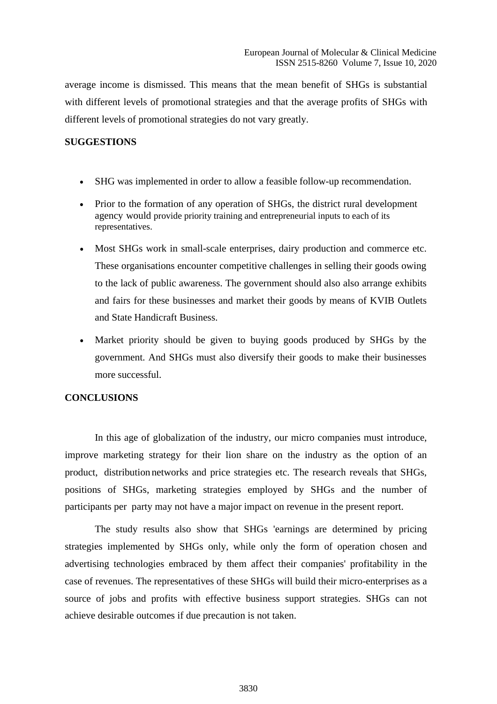average income is dismissed. This means that the mean benefit of SHGs is substantial with different levels of promotional strategies and that the average profits of SHGs with different levels of promotional strategies do not vary greatly.

## **SUGGESTIONS**

- SHG was implemented in order to allow a feasible follow-up recommendation.
- Prior to the formation of any operation of SHGs, the district rural development agency would provide priority training and entrepreneurial inputs to each of its representatives.
- Most SHGs work in small-scale enterprises, dairy production and commerce etc. These organisations encounter competitive challenges in selling their goods owing to the lack of public awareness. The government should also also arrange exhibits and fairs for these businesses and market their goods by means of KVIB Outlets and State Handicraft Business.
- Market priority should be given to buying goods produced by SHGs by the government. And SHGs must also diversify their goods to make their businesses more successful.

## **CONCLUSIONS**

In this age of globalization of the industry, our micro companies must introduce, improve marketing strategy for their lion share on the industry as the option of an product, distribution networks and price strategies etc. The research reveals that SHGs, positions of SHGs, marketing strategies employed by SHGs and the number of participants per party may not have a major impact on revenue in the present report.

The study results also show that SHGs 'earnings are determined by pricing strategies implemented by SHGs only, while only the form of operation chosen and advertising technologies embraced by them affect their companies' profitability in the case of revenues. The representatives of these SHGs will build their micro-enterprises as a source of jobs and profits with effective business support strategies. SHGs can not achieve desirable outcomes if due precaution is not taken.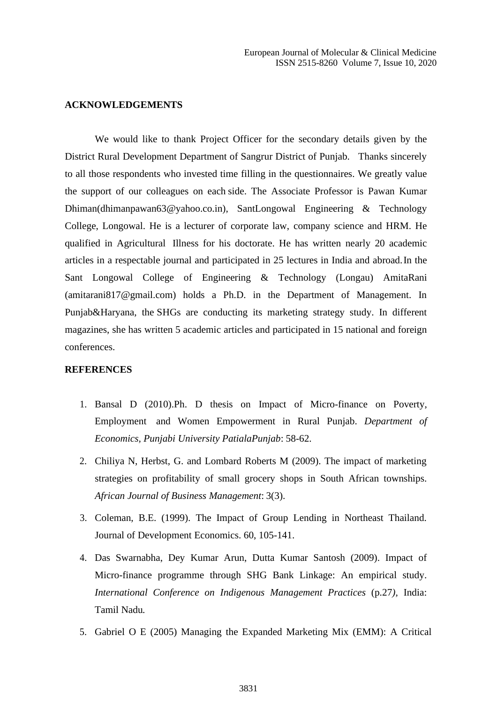#### **ACKNOWLEDGEMENTS**

We would like to thank Project Officer for the secondary details given by the District Rural Development Department of Sangrur District of Punjab. Thanks sincerely to all those respondents who invested time filling in the questionnaires. We greatly value the support of our colleagues on each side. The Associate Professor is Pawan Kumar Dhiman(dhimanpawan63@yahoo.co.in), SantLongowal Engineering & Technology College, Longowal. He is a lecturer of corporate law, company science and HRM. He qualified in Agricultural Illness for his doctorate. He has written nearly 20 academic articles in a respectable journal and participated in 25 lectures in India and abroad.In the Sant Longowal College of Engineering & Technology (Longau) AmitaRani (amitarani817@gmail.com) holds a Ph.D. in the Department of Management. In Punjab&Haryana, the SHGs are conducting its marketing strategy study. In different magazines, she has written 5 academic articles and participated in 15 national and foreign conferences.

# **REFERENCES**

- 1. Bansal D (2010).Ph. D thesis on Impact of Micro-finance on Poverty, Employment and Women Empowerment in Rural Punjab. *Department of Economics, Punjabi University PatialaPunjab*: 58-62.
- 2. Chiliya N, Herbst, G. and Lombard Roberts M (2009). The impact of marketing strategies on profitability of small grocery shops in South African townships. *African Journal of Business Management*: 3(3).
- 3. Coleman, B.E. (1999). The Impact of Group Lending in Northeast Thailand. Journal of Development Economics. 60, 105-141.
- 4. Das Swarnabha, Dey Kumar Arun, Dutta Kumar Santosh (2009). Impact of Micro-finance programme through SHG Bank Linkage: An empirical study. *International Conference on Indigenous Management Practices* (p.27*),* India: Tamil Nadu*.*
- 5. Gabriel O E (2005) Managing the Expanded Marketing Mix (EMM): A Critical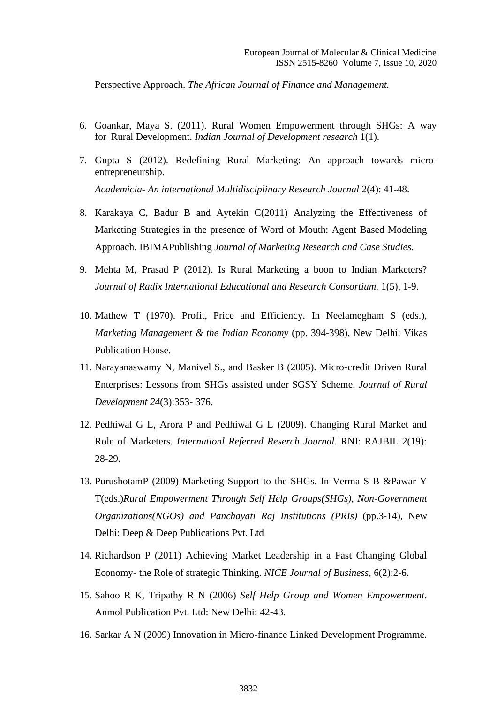Perspective Approach. *The African Journal of Finance and Management.*

- 6. Goankar, Maya S. (2011). Rural Women Empowerment through SHGs: A way for Rural Development. *Indian Journal of Development research* 1(1).
- 7. Gupta S (2012). Redefining Rural Marketing: An approach towards microentrepreneurship. *Academicia- An international Multidisciplinary Research Journal* 2(4): 41-48.
- 8. Karakaya C, Badur B and Aytekin C(2011) Analyzing the Effectiveness of Marketing Strategies in the presence of Word of Mouth: Agent Based Modeling Approach. IBIMAPublishing *Journal of Marketing Research and Case Studies*.
- 9. Mehta M, Prasad P (2012). Is Rural Marketing a boon to Indian Marketers? *Journal of Radix International Educational and Research Consortium.* 1(5), 1-9.
- 10. Mathew T (1970). Profit, Price and Efficiency. In Neelamegham S (eds.), *Marketing Management & the Indian Economy* (pp. 394-398), New Delhi: Vikas Publication House.
- 11. Narayanaswamy N, Manivel S., and Basker B (2005). Micro-credit Driven Rural Enterprises: Lessons from SHGs assisted under SGSY Scheme. *Journal of Rural Development 24*(3):353- 376.
- 12. Pedhiwal G L, Arora P and Pedhiwal G L (2009). Changing Rural Market and Role of Marketers. *Internationl Referred Reserch Journal*. RNI: RAJBIL 2(19): 28-29.
- 13. PurushotamP (2009) Marketing Support to the SHGs. In Verma S B &Pawar Y T(eds.)*Rural Empowerment Through Self Help Groups(SHGs), Non-Government Organizations(NGOs) and Panchayati Raj Institutions (PRIs)* (pp.3-14), New Delhi: Deep & Deep Publications Pvt. Ltd
- 14. Richardson P (2011) Achieving Market Leadership in a Fast Changing Global Economy- the Role of strategic Thinking. *NICE Journal of Business*, 6(2):2-6.
- 15. Sahoo R K, Tripathy R N (2006) *Self Help Group and Women Empowerment*. Anmol Publication Pvt. Ltd: New Delhi: 42-43.
- 16. Sarkar A N (2009) Innovation in Micro-finance Linked Development Programme.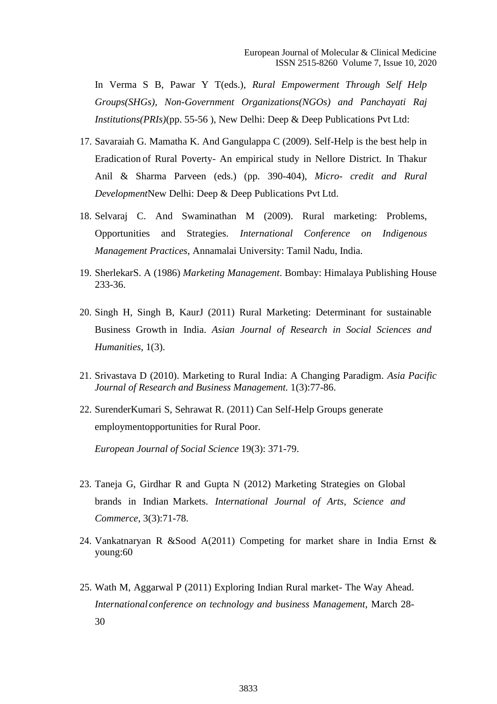In Verma S B, Pawar Y T(eds.), *Rural Empowerment Through Self Help Groups(SHGs), Non-Government Organizations(NGOs) and Panchayati Raj Institutions(PRIs)*(pp. 55-56 ), New Delhi: Deep & Deep Publications Pvt Ltd:

- 17. Savaraiah G. Mamatha K. And Gangulappa C (2009). Self-Help is the best help in Eradication of Rural Poverty- An empirical study in Nellore District. In Thakur Anil & Sharma Parveen (eds.) (pp. 390-404), *Micro- credit and Rural Development*New Delhi: Deep & Deep Publications Pvt Ltd.
- 18. Selvaraj C. And Swaminathan M (2009). Rural marketing: Problems, Opportunities and Strategies. *International Conference on Indigenous Management Practices*, Annamalai University: Tamil Nadu, India.
- 19. SherlekarS. A (1986) *Marketing Management*. Bombay: Himalaya Publishing House 233-36.
- 20. Singh H, Singh B, KaurJ (2011) Rural Marketing: Determinant for sustainable Business Growth in India. *Asian Journal of Research in Social Sciences and Humanities*, 1(3).
- 21. Srivastava D (2010). Marketing to Rural India: A Changing Paradigm. *Asia Pacific Journal of Research and Business Management.* 1(3):77-86.
- 22. SurenderKumari S, Sehrawat R. (2011) Can Self-Help Groups generate employmentopportunities for Rural Poor.

*European Journal of Social Science* 19(3): 371-79.

- 23. Taneja G, Girdhar R and Gupta N (2012) Marketing Strategies on Global brands in Indian Markets. *International Journal of Arts, Science and Commerce,* 3(3):71-78.
- 24. Vankatnaryan R &Sood A(2011) Competing for market share in India Ernst & young:60
- 25. Wath M, Aggarwal P (2011) Exploring Indian Rural market- The Way Ahead. *International conference on technology and business Management,* March 28- 30